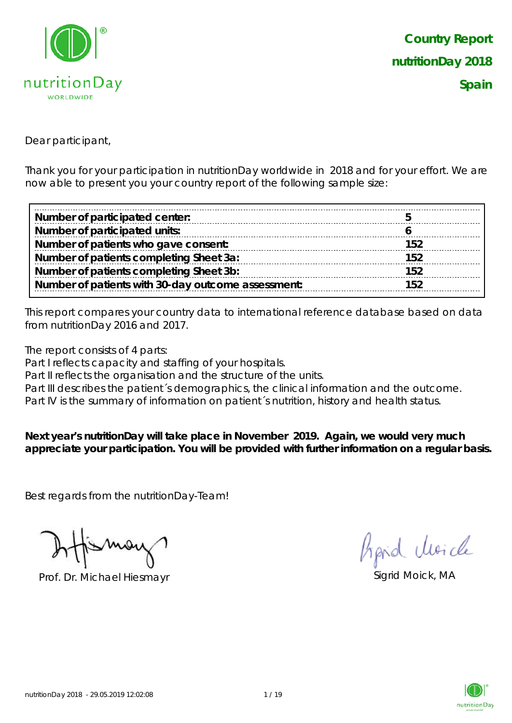

Dear participant,

Thank you for your participation in nutritionDay worldwide in 2018 and for your effort. We are now able to present you your country report of the following sample size:

| Number of participated center:                     |     |
|----------------------------------------------------|-----|
| Number of participated units:                      |     |
| Number of patients who gave consent:               | 152 |
| Number of patients completing Sheet 3a:            | 152 |
| Number of patients completing Sheet 3b:            | 152 |
| Number of patients with 30-day outcome assessment: | 152 |

This report compares your country data to international reference database based on data from nutritionDay 2016 and 2017.

The report consists of 4 parts:

Part I reflects capacity and staffing of your hospitals.

Part II reflects the organisation and the structure of the units.

Part III describes the patient's demographics, the clinical information and the outcome.

Part IV is the summary of information on patient's nutrition, history and health status.

**Next year's nutritionDay will take place in November 2019. Again, we would very much appreciate your participation. You will be provided with further information on a regular basis.**

Best regards from the nutritionDay-Team!

Prof. Dr. Michael Hiesmayr Sigrid Moick, MA

hard Moich

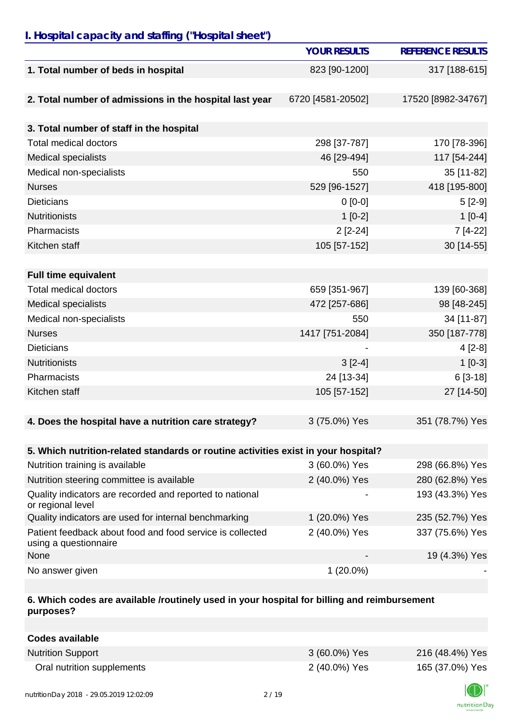### *I. Hospital capacity and staffing ("Hospital sheet")*

|                                                                                    | <b>YOUR RESULTS</b> | <b>REFERENCE RESULTS</b> |
|------------------------------------------------------------------------------------|---------------------|--------------------------|
| 1. Total number of beds in hospital                                                | 823 [90-1200]       | 317 [188-615]            |
|                                                                                    |                     |                          |
| 2. Total number of admissions in the hospital last year                            | 6720 [4581-20502]   | 17520 [8982-34767]       |
|                                                                                    |                     |                          |
| 3. Total number of staff in the hospital                                           |                     |                          |
| <b>Total medical doctors</b>                                                       | 298 [37-787]        | 170 [78-396]             |
| <b>Medical specialists</b>                                                         | 46 [29-494]         | 117 [54-244]             |
| Medical non-specialists                                                            | 550                 | 35 [11-82]               |
| <b>Nurses</b>                                                                      | 529 [96-1527]       | 418 [195-800]            |
| <b>Dieticians</b>                                                                  | $0 [0-0]$           | $5[2-9]$                 |
| <b>Nutritionists</b>                                                               | $1[0-2]$            | $1[0-4]$                 |
| Pharmacists                                                                        | $2[2-24]$           | 7 [4-22]                 |
| Kitchen staff                                                                      | 105 [57-152]        | 30 [14-55]               |
|                                                                                    |                     |                          |
| <b>Full time equivalent</b>                                                        |                     |                          |
| <b>Total medical doctors</b>                                                       | 659 [351-967]       | 139 [60-368]             |
| <b>Medical specialists</b>                                                         | 472 [257-686]       | 98 [48-245]              |
| Medical non-specialists                                                            | 550                 | 34 [11-87]               |
| <b>Nurses</b>                                                                      | 1417 [751-2084]     | 350 [187-778]            |
| <b>Dieticians</b>                                                                  |                     | $4[2-8]$                 |
| <b>Nutritionists</b>                                                               | $3[2-4]$            | $1[0-3]$                 |
| Pharmacists                                                                        | 24 [13-34]          | $6[3-18]$                |
| Kitchen staff                                                                      | 105 [57-152]        | 27 [14-50]               |
|                                                                                    |                     |                          |
| 4. Does the hospital have a nutrition care strategy?                               | 3 (75.0%) Yes       | 351 (78.7%) Yes          |
|                                                                                    |                     |                          |
| 5. Which nutrition-related standards or routine activities exist in your hospital? |                     |                          |
| Nutrition training is available                                                    | 3 (60.0%) Yes       | 298 (66.8%) Yes          |
| Nutrition steering committee is available                                          | 2 (40.0%) Yes       | 280 (62.8%) Yes          |
| Quality indicators are recorded and reported to national<br>or regional level      |                     | 193 (43.3%) Yes          |
| Quality indicators are used for internal benchmarking                              | 1 (20.0%) Yes       | 235 (52.7%) Yes          |
| Patient feedback about food and food service is collected<br>using a questionnaire | 2 (40.0%) Yes       | 337 (75.6%) Yes          |
| None                                                                               |                     | 19 (4.3%) Yes            |
| No answer given                                                                    | $1(20.0\%)$         |                          |

#### **6. Which codes are available /routinely used in your hospital for billing and reimbursement purposes?**

| <b>Codes available</b>     |               |                 |
|----------------------------|---------------|-----------------|
| <b>Nutrition Support</b>   | 3 (60.0%) Yes | 216 (48.4%) Yes |
| Oral nutrition supplements | 2 (40.0%) Yes | 165 (37.0%) Yes |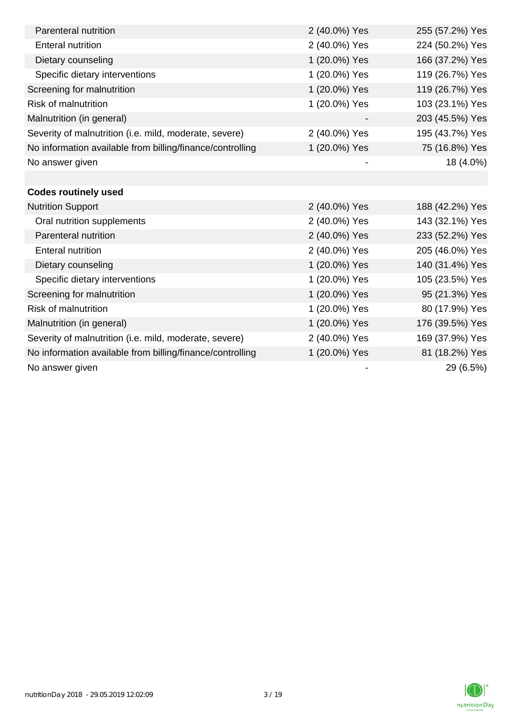| Parenteral nutrition                                      | 2 (40.0%) Yes | 255 (57.2%) Yes |
|-----------------------------------------------------------|---------------|-----------------|
| <b>Enteral nutrition</b>                                  | 2 (40.0%) Yes | 224 (50.2%) Yes |
| Dietary counseling                                        | 1 (20.0%) Yes | 166 (37.2%) Yes |
| Specific dietary interventions                            | 1 (20.0%) Yes | 119 (26.7%) Yes |
| Screening for malnutrition                                | 1 (20.0%) Yes | 119 (26.7%) Yes |
| <b>Risk of malnutrition</b>                               | 1 (20.0%) Yes | 103 (23.1%) Yes |
| Malnutrition (in general)                                 |               | 203 (45.5%) Yes |
| Severity of malnutrition (i.e. mild, moderate, severe)    | 2 (40.0%) Yes | 195 (43.7%) Yes |
| No information available from billing/finance/controlling | 1 (20.0%) Yes | 75 (16.8%) Yes  |
| No answer given                                           |               | 18 (4.0%)       |
|                                                           |               |                 |
| <b>Codes routinely used</b>                               |               |                 |
| <b>Nutrition Support</b>                                  | 2 (40.0%) Yes | 188 (42.2%) Yes |
| Oral nutrition supplements                                | 2 (40.0%) Yes | 143 (32.1%) Yes |
| Parenteral nutrition                                      | 2 (40.0%) Yes | 233 (52.2%) Yes |
| <b>Enteral nutrition</b>                                  | 2 (40.0%) Yes | 205 (46.0%) Yes |
| Dietary counseling                                        | 1 (20.0%) Yes | 140 (31.4%) Yes |
| Specific dietary interventions                            | 1 (20.0%) Yes | 105 (23.5%) Yes |
| Screening for malnutrition                                | 1 (20.0%) Yes | 95 (21.3%) Yes  |
| <b>Risk of malnutrition</b>                               | 1 (20.0%) Yes | 80 (17.9%) Yes  |
| Malnutrition (in general)                                 | 1 (20.0%) Yes | 176 (39.5%) Yes |
| Severity of malnutrition (i.e. mild, moderate, severe)    | 2 (40.0%) Yes | 169 (37.9%) Yes |
| No information available from billing/finance/controlling | 1 (20.0%) Yes | 81 (18.2%) Yes  |
| No answer given                                           |               | 29 (6.5%)       |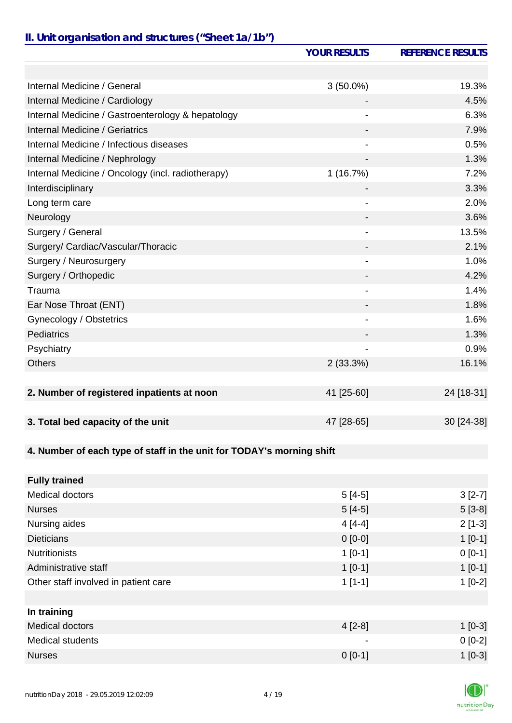## *II. Unit organisation and structures ("Sheet 1a/1b")*

|                                                                       | <b>YOUR RESULTS</b>          | <b>REFERENCE RESULTS</b> |
|-----------------------------------------------------------------------|------------------------------|--------------------------|
|                                                                       |                              |                          |
| Internal Medicine / General                                           | $3(50.0\%)$                  | 19.3%                    |
| Internal Medicine / Cardiology                                        |                              | 4.5%                     |
| Internal Medicine / Gastroenterology & hepatology                     |                              | 6.3%                     |
| Internal Medicine / Geriatrics                                        | -                            | 7.9%                     |
| Internal Medicine / Infectious diseases                               | $\qquad \qquad \blacksquare$ | 0.5%                     |
| Internal Medicine / Nephrology                                        | -                            | 1.3%                     |
| Internal Medicine / Oncology (incl. radiotherapy)                     | 1(16.7%)                     | 7.2%                     |
| Interdisciplinary                                                     |                              | 3.3%                     |
| Long term care                                                        | $\overline{a}$               | 2.0%                     |
| Neurology                                                             | -                            | 3.6%                     |
| Surgery / General                                                     | $\overline{\phantom{a}}$     | 13.5%                    |
| Surgery/ Cardiac/Vascular/Thoracic                                    |                              | 2.1%                     |
| Surgery / Neurosurgery                                                | $\overline{\phantom{0}}$     | 1.0%                     |
| Surgery / Orthopedic                                                  |                              | 4.2%                     |
| Trauma                                                                |                              | 1.4%                     |
| Ear Nose Throat (ENT)                                                 |                              | 1.8%                     |
| Gynecology / Obstetrics                                               | $\overline{\phantom{a}}$     | 1.6%                     |
| Pediatrics                                                            |                              | 1.3%                     |
| Psychiatry                                                            |                              | 0.9%                     |
| <b>Others</b>                                                         | 2(33.3%)                     | 16.1%                    |
|                                                                       |                              |                          |
| 2. Number of registered inpatients at noon                            | 41 [25-60]                   | 24 [18-31]               |
|                                                                       |                              |                          |
| 3. Total bed capacity of the unit                                     | 47 [28-65]                   | 30 [24-38]               |
|                                                                       |                              |                          |
| 4. Number of each type of staff in the unit for TODAY's morning shift |                              |                          |
|                                                                       |                              |                          |
| <b>Fully trained</b>                                                  |                              |                          |
| <b>Medical doctors</b>                                                | $5[4-5]$                     | $3[2-7]$                 |
| <b>Nurses</b>                                                         | $5[4-5]$                     | $5[3-8]$                 |
| Nursing aides                                                         | $4[4-4]$                     | $2[1-3]$                 |
| <b>Dieticians</b>                                                     | $0 [0-0]$                    | $1[0-1]$                 |
| <b>Nutritionists</b>                                                  | $1[0-1]$                     | $0 [0-1]$                |
| Administrative staff                                                  | $1[0-1]$                     | $1[0-1]$                 |
| Other staff involved in patient care                                  | $1[1-1]$                     | $1[0-2]$                 |
|                                                                       |                              |                          |
| In training                                                           |                              |                          |
| <b>Medical doctors</b>                                                | $4[2-8]$                     | $1[0-3]$                 |
| <b>Medical students</b>                                               |                              | $0[0-2]$                 |
| <b>Nurses</b>                                                         | $0[0-1]$                     | $1[0-3]$                 |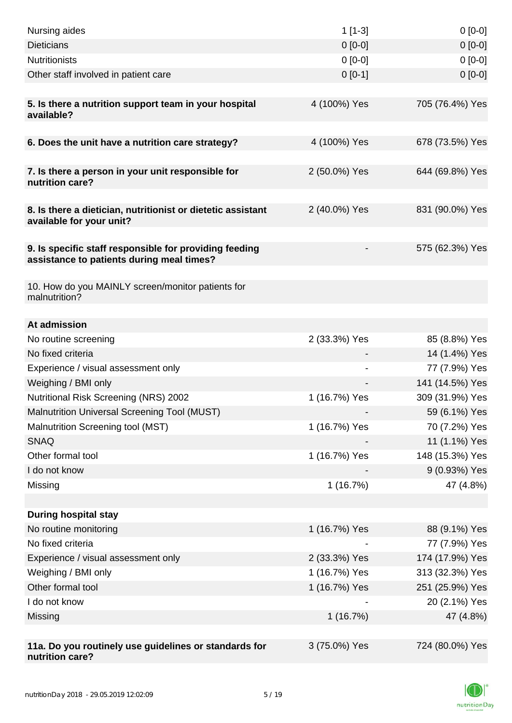| Nursing aides                                                                                       | $1[1-3]$      | $0$ [0-0]       |
|-----------------------------------------------------------------------------------------------------|---------------|-----------------|
| <b>Dieticians</b>                                                                                   | $0 [0-0]$     | $0[0-0]$        |
| <b>Nutritionists</b>                                                                                | $0[0-0]$      | $0[0-0]$        |
| Other staff involved in patient care                                                                | $0[0-1]$      | $0 [0-0]$       |
|                                                                                                     |               |                 |
| 5. Is there a nutrition support team in your hospital<br>available?                                 | 4 (100%) Yes  | 705 (76.4%) Yes |
|                                                                                                     |               |                 |
| 6. Does the unit have a nutrition care strategy?                                                    | 4 (100%) Yes  | 678 (73.5%) Yes |
| 7. Is there a person in your unit responsible for<br>nutrition care?                                | 2 (50.0%) Yes | 644 (69.8%) Yes |
| 8. Is there a dietician, nutritionist or dietetic assistant<br>available for your unit?             | 2 (40.0%) Yes | 831 (90.0%) Yes |
| 9. Is specific staff responsible for providing feeding<br>assistance to patients during meal times? |               | 575 (62.3%) Yes |
| 10. How do you MAINLY screen/monitor patients for<br>malnutrition?                                  |               |                 |
| At admission                                                                                        |               |                 |
| No routine screening                                                                                | 2 (33.3%) Yes | 85 (8.8%) Yes   |
| No fixed criteria                                                                                   |               | 14 (1.4%) Yes   |
| Experience / visual assessment only                                                                 |               | 77 (7.9%) Yes   |
| Weighing / BMI only                                                                                 |               | 141 (14.5%) Yes |
| <b>Nutritional Risk Screening (NRS) 2002</b>                                                        | 1 (16.7%) Yes | 309 (31.9%) Yes |
| Malnutrition Universal Screening Tool (MUST)                                                        |               | 59 (6.1%) Yes   |
| Malnutrition Screening tool (MST)                                                                   | 1 (16.7%) Yes | 70 (7.2%) Yes   |
| <b>SNAQ</b>                                                                                         |               | 11 (1.1%) Yes   |
| Other formal tool                                                                                   | 1 (16.7%) Yes | 148 (15.3%) Yes |
| I do not know                                                                                       |               | 9 (0.93%) Yes   |
| Missing                                                                                             | 1(16.7%)      | 47 (4.8%)       |
|                                                                                                     |               |                 |
| <b>During hospital stay</b>                                                                         |               |                 |
| No routine monitoring                                                                               | 1 (16.7%) Yes | 88 (9.1%) Yes   |
| No fixed criteria                                                                                   |               | 77 (7.9%) Yes   |
| Experience / visual assessment only                                                                 | 2 (33.3%) Yes | 174 (17.9%) Yes |
| Weighing / BMI only                                                                                 | 1 (16.7%) Yes | 313 (32.3%) Yes |
| Other formal tool                                                                                   | 1 (16.7%) Yes | 251 (25.9%) Yes |
| I do not know                                                                                       |               | 20 (2.1%) Yes   |
| Missing                                                                                             | 1(16.7%)      | 47 (4.8%)       |
| 11a. Do you routinely use guidelines or standards for<br>nutrition care?                            | 3 (75.0%) Yes | 724 (80.0%) Yes |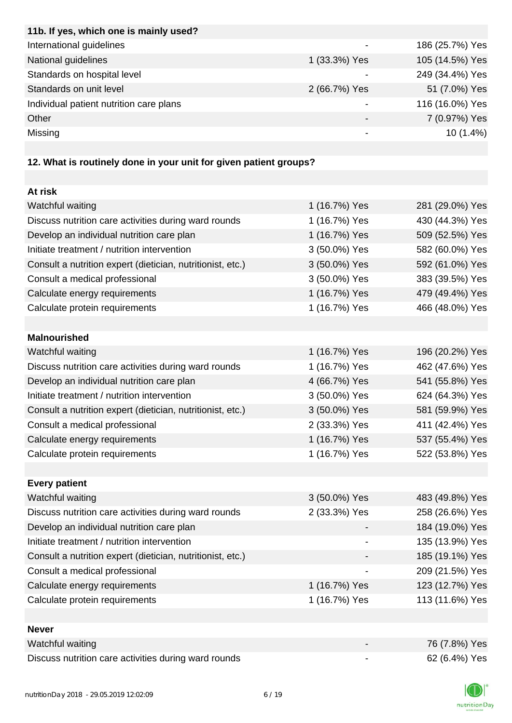| 11b. If yes, which one is mainly used?  |                          |                 |
|-----------------------------------------|--------------------------|-----------------|
| International guidelines                |                          | 186 (25.7%) Yes |
| National guidelines                     | 1 (33.3%) Yes            | 105 (14.5%) Yes |
| Standards on hospital level             |                          | 249 (34.4%) Yes |
| Standards on unit level                 | 2 (66.7%) Yes            | 51 (7.0%) Yes   |
| Individual patient nutrition care plans |                          | 116 (16.0%) Yes |
| Other                                   | $\overline{\phantom{0}}$ | 7 (0.97%) Yes   |
| Missing                                 |                          | $10(1.4\%)$     |
|                                         |                          |                 |

# **12. What is routinely done in your unit for given patient groups?**

| At risk                                                    |                |                 |
|------------------------------------------------------------|----------------|-----------------|
| Watchful waiting                                           | 1 (16.7%) Yes  | 281 (29.0%) Yes |
| Discuss nutrition care activities during ward rounds       | 1 (16.7%) Yes  | 430 (44.3%) Yes |
| Develop an individual nutrition care plan                  | 1 (16.7%) Yes  | 509 (52.5%) Yes |
| Initiate treatment / nutrition intervention                | 3 (50.0%) Yes  | 582 (60.0%) Yes |
| Consult a nutrition expert (dietician, nutritionist, etc.) | 3 (50.0%) Yes  | 592 (61.0%) Yes |
| Consult a medical professional                             | 3 (50.0%) Yes  | 383 (39.5%) Yes |
| Calculate energy requirements                              | 1 (16.7%) Yes  | 479 (49.4%) Yes |
| Calculate protein requirements                             | 1 (16.7%) Yes  | 466 (48.0%) Yes |
|                                                            |                |                 |
| <b>Malnourished</b>                                        |                |                 |
| Watchful waiting                                           | 1 (16.7%) Yes  | 196 (20.2%) Yes |
| Discuss nutrition care activities during ward rounds       | 1 (16.7%) Yes  | 462 (47.6%) Yes |
| Develop an individual nutrition care plan                  | 4 (66.7%) Yes  | 541 (55.8%) Yes |
| Initiate treatment / nutrition intervention                | 3 (50.0%) Yes  | 624 (64.3%) Yes |
| Consult a nutrition expert (dietician, nutritionist, etc.) | 3 (50.0%) Yes  | 581 (59.9%) Yes |
| Consult a medical professional                             | 2 (33.3%) Yes  | 411 (42.4%) Yes |
| Calculate energy requirements                              | 1 (16.7%) Yes  | 537 (55.4%) Yes |
| Calculate protein requirements                             | 1 (16.7%) Yes  | 522 (53.8%) Yes |
|                                                            |                |                 |
| <b>Every patient</b>                                       |                |                 |
| Watchful waiting                                           | 3 (50.0%) Yes  | 483 (49.8%) Yes |
| Discuss nutrition care activities during ward rounds       | 2 (33.3%) Yes  | 258 (26.6%) Yes |
| Develop an individual nutrition care plan                  |                | 184 (19.0%) Yes |
| Initiate treatment / nutrition intervention                |                | 135 (13.9%) Yes |
| Consult a nutrition expert (dietician, nutritionist, etc.) |                | 185 (19.1%) Yes |
| Consult a medical professional                             |                | 209 (21.5%) Yes |
| Calculate energy requirements                              | 1 (16.7%) Yes  | 123 (12.7%) Yes |
| Calculate protein requirements                             | 1 (16.7%) Yes  | 113 (11.6%) Yes |
|                                                            |                |                 |
| <b>Never</b>                                               |                |                 |
| Watchful waiting                                           |                | 76 (7.8%) Yes   |
| Discuss nutrition care activities during ward rounds       | $\blacksquare$ | 62 (6.4%) Yes   |

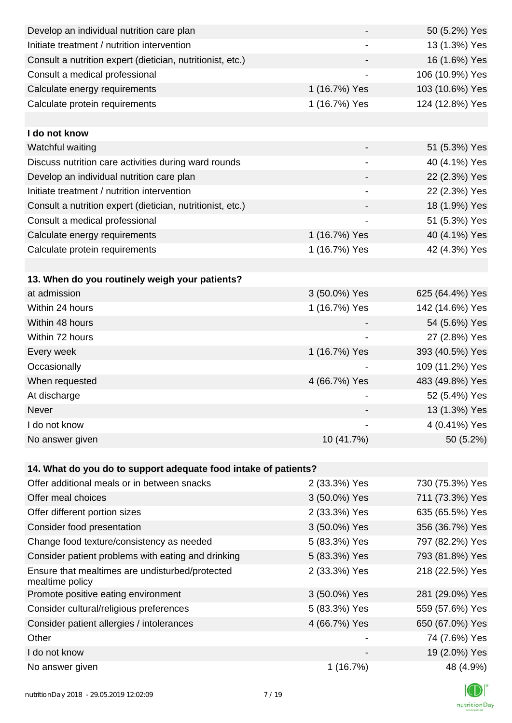| Develop an individual nutrition care plan                          |                          | 50 (5.2%) Yes   |
|--------------------------------------------------------------------|--------------------------|-----------------|
| Initiate treatment / nutrition intervention                        |                          | 13 (1.3%) Yes   |
| Consult a nutrition expert (dietician, nutritionist, etc.)         |                          | 16 (1.6%) Yes   |
| Consult a medical professional                                     |                          | 106 (10.9%) Yes |
| Calculate energy requirements                                      | 1 (16.7%) Yes            | 103 (10.6%) Yes |
| Calculate protein requirements                                     | 1 (16.7%) Yes            | 124 (12.8%) Yes |
|                                                                    |                          |                 |
| I do not know                                                      |                          |                 |
| Watchful waiting                                                   |                          | 51 (5.3%) Yes   |
| Discuss nutrition care activities during ward rounds               |                          | 40 (4.1%) Yes   |
| Develop an individual nutrition care plan                          |                          | 22 (2.3%) Yes   |
| Initiate treatment / nutrition intervention                        | $\overline{\phantom{a}}$ | 22 (2.3%) Yes   |
| Consult a nutrition expert (dietician, nutritionist, etc.)         |                          | 18 (1.9%) Yes   |
| Consult a medical professional                                     |                          | 51 (5.3%) Yes   |
| Calculate energy requirements                                      | 1 (16.7%) Yes            | 40 (4.1%) Yes   |
| Calculate protein requirements                                     | 1 (16.7%) Yes            | 42 (4.3%) Yes   |
|                                                                    |                          |                 |
| 13. When do you routinely weigh your patients?                     |                          |                 |
| at admission                                                       | 3 (50.0%) Yes            | 625 (64.4%) Yes |
| Within 24 hours                                                    | 1 (16.7%) Yes            | 142 (14.6%) Yes |
| Within 48 hours                                                    |                          | 54 (5.6%) Yes   |
| Within 72 hours                                                    |                          | 27 (2.8%) Yes   |
| Every week                                                         | 1 (16.7%) Yes            | 393 (40.5%) Yes |
| Occasionally                                                       |                          | 109 (11.2%) Yes |
| When requested                                                     | 4 (66.7%) Yes            | 483 (49.8%) Yes |
| At discharge                                                       |                          | 52 (5.4%) Yes   |
| Never                                                              |                          | 13 (1.3%) Yes   |
| I do not know                                                      |                          | 4 (0.41%) Yes   |
| No answer given                                                    | 10 (41.7%)               | 50 (5.2%)       |
|                                                                    |                          |                 |
| 14. What do you do to support adequate food intake of patients?    |                          |                 |
| Offer additional meals or in between snacks                        | 2 (33.3%) Yes            | 730 (75.3%) Yes |
| Offer meal choices                                                 | 3 (50.0%) Yes            | 711 (73.3%) Yes |
| Offer different portion sizes                                      | 2 (33.3%) Yes            | 635 (65.5%) Yes |
| Consider food presentation                                         | 3 (50.0%) Yes            | 356 (36.7%) Yes |
| Change food texture/consistency as needed                          | 5 (83.3%) Yes            | 797 (82.2%) Yes |
| Consider patient problems with eating and drinking                 | 5 (83.3%) Yes            | 793 (81.8%) Yes |
| Ensure that mealtimes are undisturbed/protected<br>mealtime policy | 2 (33.3%) Yes            | 218 (22.5%) Yes |
| Promote positive eating environment                                | 3 (50.0%) Yes            | 281 (29.0%) Yes |
| Consider cultural/religious preferences                            | 5 (83.3%) Yes            | 559 (57.6%) Yes |
| Consider patient allergies / intolerances                          | 4 (66.7%) Yes            | 650 (67.0%) Yes |
| Other                                                              |                          | 74 (7.6%) Yes   |
| I do not know                                                      |                          | 19 (2.0%) Yes   |
| No answer given                                                    | 1(16.7%)                 | 48 (4.9%)       |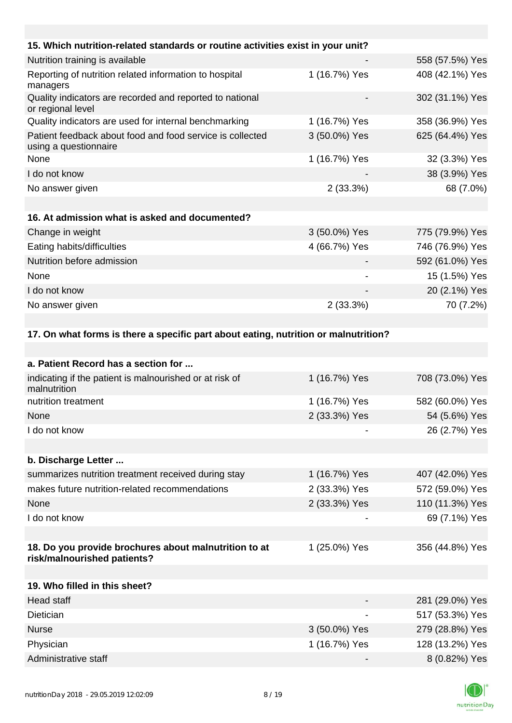| 15. Which nutrition-related standards or routine activities exist in your unit?      |               |                 |
|--------------------------------------------------------------------------------------|---------------|-----------------|
| Nutrition training is available                                                      |               | 558 (57.5%) Yes |
| Reporting of nutrition related information to hospital<br>managers                   | 1 (16.7%) Yes | 408 (42.1%) Yes |
| Quality indicators are recorded and reported to national<br>or regional level        |               | 302 (31.1%) Yes |
| Quality indicators are used for internal benchmarking                                | 1 (16.7%) Yes | 358 (36.9%) Yes |
| Patient feedback about food and food service is collected<br>using a questionnaire   | 3 (50.0%) Yes | 625 (64.4%) Yes |
| None                                                                                 | 1 (16.7%) Yes | 32 (3.3%) Yes   |
| I do not know                                                                        |               | 38 (3.9%) Yes   |
| No answer given                                                                      | 2(33.3%)      | 68 (7.0%)       |
|                                                                                      |               |                 |
| 16. At admission what is asked and documented?                                       |               |                 |
| Change in weight                                                                     | 3 (50.0%) Yes | 775 (79.9%) Yes |
| Eating habits/difficulties                                                           | 4 (66.7%) Yes | 746 (76.9%) Yes |
| Nutrition before admission                                                           |               | 592 (61.0%) Yes |
| None                                                                                 |               | 15 (1.5%) Yes   |
| I do not know                                                                        |               | 20 (2.1%) Yes   |
| No answer given                                                                      | 2(33.3%)      | 70 (7.2%)       |
|                                                                                      |               |                 |
| 17. On what forms is there a specific part about eating, nutrition or malnutrition?  |               |                 |
|                                                                                      |               |                 |
| a. Patient Record has a section for                                                  |               |                 |
| indicating if the patient is malnourished or at risk of<br>malnutrition              | 1 (16.7%) Yes | 708 (73.0%) Yes |
| nutrition treatment                                                                  | 1 (16.7%) Yes | 582 (60.0%) Yes |
| None                                                                                 | 2 (33.3%) Yes | 54 (5.6%) Yes   |
| I do not know                                                                        |               | 26 (2.7%) Yes   |
|                                                                                      |               |                 |
| b. Discharge Letter                                                                  |               |                 |
| summarizes nutrition treatment received during stay                                  | 1 (16.7%) Yes | 407 (42.0%) Yes |
| makes future nutrition-related recommendations                                       | 2 (33.3%) Yes | 572 (59.0%) Yes |
| None                                                                                 | 2 (33.3%) Yes | 110 (11.3%) Yes |
| I do not know                                                                        |               | 69 (7.1%) Yes   |
|                                                                                      |               |                 |
| 18. Do you provide brochures about malnutrition to at<br>risk/malnourished patients? | 1 (25.0%) Yes | 356 (44.8%) Yes |
|                                                                                      |               |                 |
| 19. Who filled in this sheet?                                                        |               |                 |
| <b>Head staff</b>                                                                    |               | 281 (29.0%) Yes |
| Dietician                                                                            |               | 517 (53.3%) Yes |
| <b>Nurse</b>                                                                         | 3 (50.0%) Yes | 279 (28.8%) Yes |
| Physician                                                                            | 1 (16.7%) Yes | 128 (13.2%) Yes |
| Administrative staff                                                                 |               | 8 (0.82%) Yes   |

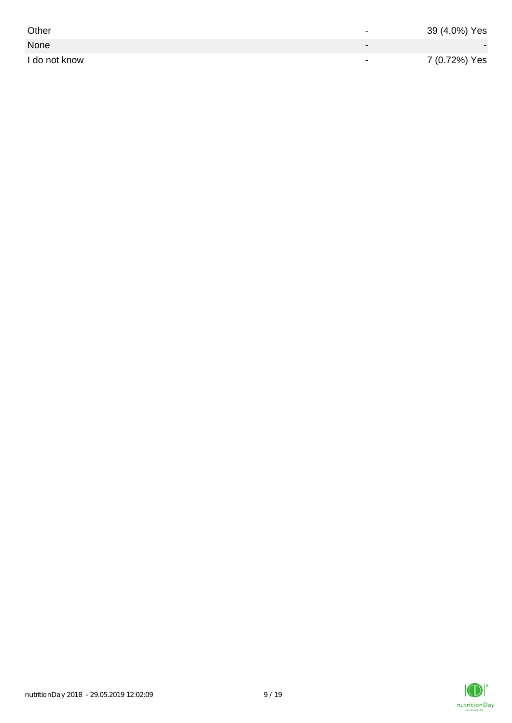| Other         | $\overline{\phantom{0}}$ | 39 (4.0%) Yes |
|---------------|--------------------------|---------------|
| None          |                          |               |
| I do not know | $\,$                     | 7 (0.72%) Yes |

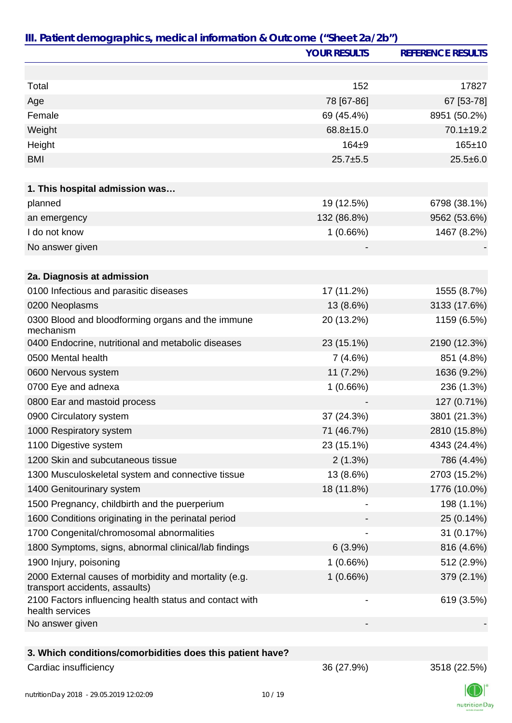|                                                                                         | <b>YOUR RESULTS</b> | <b>REFERENCE RESULTS</b> |
|-----------------------------------------------------------------------------------------|---------------------|--------------------------|
|                                                                                         |                     |                          |
| Total                                                                                   | 152                 | 17827                    |
| Age                                                                                     | 78 [67-86]          | 67 [53-78]               |
| Female                                                                                  | 69 (45.4%)          | 8951 (50.2%)             |
| Weight                                                                                  | $68.8 \pm 15.0$     | $70.1 \pm 19.2$          |
| Height                                                                                  | $164 + 9$           | $165 + 10$               |
| <b>BMI</b>                                                                              | $25.7 + 5.5$        | $25.5 \pm 6.0$           |
|                                                                                         |                     |                          |
| 1. This hospital admission was                                                          |                     |                          |
| planned                                                                                 | 19 (12.5%)          | 6798 (38.1%)             |
| an emergency                                                                            | 132 (86.8%)         | 9562 (53.6%)             |
| I do not know                                                                           | 1(0.66%)            | 1467 (8.2%)              |
| No answer given                                                                         |                     |                          |
| 2a. Diagnosis at admission                                                              |                     |                          |
| 0100 Infectious and parasitic diseases                                                  | 17 (11.2%)          | 1555 (8.7%)              |
| 0200 Neoplasms                                                                          | 13 (8.6%)           | 3133 (17.6%)             |
| 0300 Blood and bloodforming organs and the immune<br>mechanism                          | 20 (13.2%)          | 1159 (6.5%)              |
| 0400 Endocrine, nutritional and metabolic diseases                                      | 23 (15.1%)          | 2190 (12.3%)             |
| 0500 Mental health                                                                      | 7(4.6%)             | 851 (4.8%)               |
| 0600 Nervous system                                                                     | 11 (7.2%)           | 1636 (9.2%)              |
| 0700 Eye and adnexa                                                                     | 1(0.66%)            | 236 (1.3%)               |
| 0800 Ear and mastoid process                                                            |                     | 127 (0.71%)              |
| 0900 Circulatory system                                                                 | 37 (24.3%)          | 3801 (21.3%)             |
| 1000 Respiratory system                                                                 | 71 (46.7%)          | 2810 (15.8%)             |
| 1100 Digestive system                                                                   | 23 (15.1%)          | 4343 (24.4%)             |
| 1200 Skin and subcutaneous tissue                                                       | 2(1.3%)             | 786 (4.4%)               |
| 1300 Musculoskeletal system and connective tissue                                       | 13 (8.6%)           | 2703 (15.2%)             |
| 1400 Genitourinary system                                                               | 18 (11.8%)          | 1776 (10.0%)             |
| 1500 Pregnancy, childbirth and the puerperium                                           |                     | 198 (1.1%)               |
| 1600 Conditions originating in the perinatal period                                     |                     | 25 (0.14%)               |
| 1700 Congenital/chromosomal abnormalities                                               |                     | 31 (0.17%)               |
| 1800 Symptoms, signs, abnormal clinical/lab findings                                    | 6(3.9%)             | 816 (4.6%)               |
| 1900 Injury, poisoning                                                                  | 1(0.66%)            | 512 (2.9%)               |
| 2000 External causes of morbidity and mortality (e.g.<br>transport accidents, assaults) | 1(0.66%)            | 379 (2.1%)               |
| 2100 Factors influencing health status and contact with<br>health services              |                     | 619 (3.5%)               |
| No answer given                                                                         |                     |                          |
| 3. Which conditions/comorbidities does this patient have?                               |                     |                          |

#### Cardiac insufficiency 36 (27.9%) 3518 (22.5%)

nutritionDay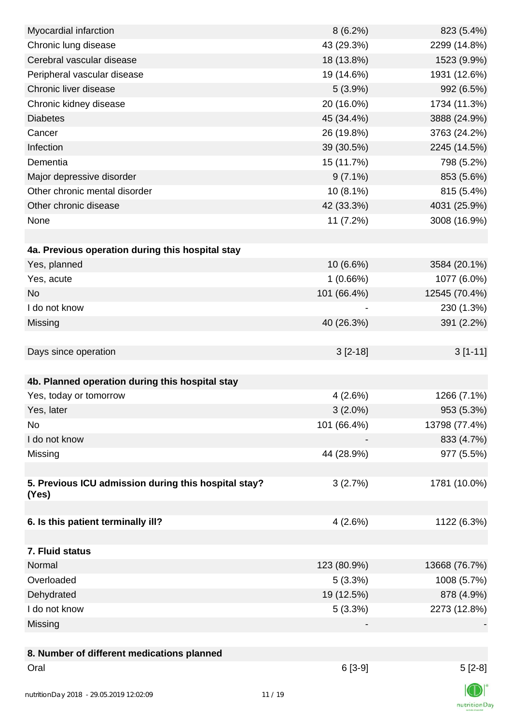| Myocardial infarction                                | $8(6.2\%)$  | 823 (5.4%)    |
|------------------------------------------------------|-------------|---------------|
| Chronic lung disease                                 | 43 (29.3%)  | 2299 (14.8%)  |
| Cerebral vascular disease                            | 18 (13.8%)  | 1523 (9.9%)   |
| Peripheral vascular disease                          | 19 (14.6%)  | 1931 (12.6%)  |
| Chronic liver disease                                | $5(3.9\%)$  | 992 (6.5%)    |
| Chronic kidney disease                               | 20 (16.0%)  | 1734 (11.3%)  |
| <b>Diabetes</b>                                      | 45 (34.4%)  | 3888 (24.9%)  |
| Cancer                                               | 26 (19.8%)  | 3763 (24.2%)  |
| Infection                                            | 39 (30.5%)  | 2245 (14.5%)  |
| Dementia                                             | 15 (11.7%)  | 798 (5.2%)    |
| Major depressive disorder                            | $9(7.1\%)$  | 853 (5.6%)    |
| Other chronic mental disorder                        | 10 (8.1%)   | 815 (5.4%)    |
| Other chronic disease                                | 42 (33.3%)  | 4031 (25.9%)  |
| None                                                 | 11 (7.2%)   | 3008 (16.9%)  |
|                                                      |             |               |
| 4a. Previous operation during this hospital stay     |             |               |
| Yes, planned                                         | 10 (6.6%)   | 3584 (20.1%)  |
| Yes, acute                                           | 1(0.66%)    | 1077 (6.0%)   |
| <b>No</b>                                            | 101 (66.4%) | 12545 (70.4%) |
| I do not know                                        |             | 230 (1.3%)    |
| Missing                                              | 40 (26.3%)  | 391 (2.2%)    |
|                                                      |             |               |
| Days since operation                                 | $3[2-18]$   | $3[1-11]$     |
|                                                      |             |               |
| 4b. Planned operation during this hospital stay      |             |               |
| Yes, today or tomorrow                               | 4(2.6%)     | 1266 (7.1%)   |
| Yes, later                                           | $3(2.0\%)$  | 953 (5.3%)    |
| No                                                   | 101 (66.4%) | 13798 (77.4%) |
| I do not know                                        |             | 833 (4.7%)    |
| Missing                                              | 44 (28.9%)  | 977 (5.5%)    |
|                                                      |             |               |
| 5. Previous ICU admission during this hospital stay? | 3(2.7%)     | 1781 (10.0%)  |
| (Yes)                                                |             |               |
|                                                      |             |               |
| 6. Is this patient terminally ill?                   | 4(2.6%)     | 1122 (6.3%)   |
|                                                      |             |               |
| 7. Fluid status                                      |             |               |
| Normal                                               | 123 (80.9%) | 13668 (76.7%) |
| Overloaded                                           | 5(3.3%)     | 1008 (5.7%)   |
| Dehydrated                                           | 19 (12.5%)  | 878 (4.9%)    |
| I do not know                                        | 5(3.3%)     | 2273 (12.8%)  |
| Missing                                              |             |               |
|                                                      |             |               |
| 8. Number of different medications planned           |             |               |
| Oral                                                 | $6[3-9]$    | $5[2-8]$      |
|                                                      |             | $\sqrt{N}$    |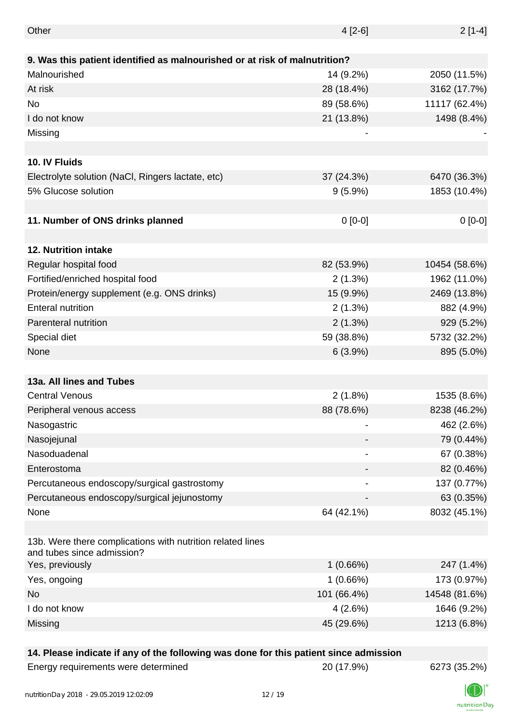| Other                                                                                    | $4[2-6]$    | $2[1-4]$      |
|------------------------------------------------------------------------------------------|-------------|---------------|
|                                                                                          |             |               |
| 9. Was this patient identified as malnourished or at risk of malnutrition?               |             |               |
| Malnourished                                                                             | 14 (9.2%)   | 2050 (11.5%)  |
| At risk                                                                                  | 28 (18.4%)  | 3162 (17.7%)  |
| No                                                                                       | 89 (58.6%)  | 11117 (62.4%) |
| I do not know                                                                            | 21 (13.8%)  | 1498 (8.4%)   |
| Missing                                                                                  |             |               |
|                                                                                          |             |               |
| 10. IV Fluids                                                                            |             |               |
| Electrolyte solution (NaCl, Ringers lactate, etc)                                        | 37 (24.3%)  | 6470 (36.3%)  |
| 5% Glucose solution                                                                      | $9(5.9\%)$  | 1853 (10.4%)  |
|                                                                                          |             |               |
| 11. Number of ONS drinks planned                                                         | $0 [0-0]$   | $0[0-0]$      |
|                                                                                          |             |               |
| <b>12. Nutrition intake</b>                                                              |             |               |
| Regular hospital food                                                                    | 82 (53.9%)  | 10454 (58.6%) |
| Fortified/enriched hospital food                                                         | 2(1.3%)     | 1962 (11.0%)  |
| Protein/energy supplement (e.g. ONS drinks)                                              | 15 (9.9%)   | 2469 (13.8%)  |
| <b>Enteral nutrition</b>                                                                 | 2(1.3%)     | 882 (4.9%)    |
| Parenteral nutrition                                                                     | 2(1.3%)     | 929 (5.2%)    |
| Special diet                                                                             | 59 (38.8%)  | 5732 (32.2%)  |
| None                                                                                     | 6(3.9%)     | 895 (5.0%)    |
|                                                                                          |             |               |
| 13a. All lines and Tubes                                                                 |             |               |
| <b>Central Venous</b>                                                                    | 2(1.8%)     | 1535 (8.6%)   |
| Peripheral venous access                                                                 | 88 (78.6%)  | 8238 (46.2%)  |
| Nasogastric                                                                              |             | 462 (2.6%)    |
| Nasojejunal                                                                              |             | 79 (0.44%)    |
| Nasoduadenal                                                                             |             | 67 (0.38%)    |
| Enterostoma                                                                              |             | 82 (0.46%)    |
| Percutaneous endoscopy/surgical gastrostomy                                              |             | 137 (0.77%)   |
| Percutaneous endoscopy/surgical jejunostomy                                              |             | 63 (0.35%)    |
| None                                                                                     | 64 (42.1%)  | 8032 (45.1%)  |
|                                                                                          |             |               |
| 13b. Were there complications with nutrition related lines<br>and tubes since admission? |             |               |
| Yes, previously                                                                          | 1(0.66%)    | 247 (1.4%)    |
| Yes, ongoing                                                                             | 1(0.66%)    | 173 (0.97%)   |
| No                                                                                       | 101 (66.4%) | 14548 (81.6%) |
| I do not know                                                                            | 4(2.6%)     | 1646 (9.2%)   |
| Missing                                                                                  | 45 (29.6%)  | 1213 (6.8%)   |
|                                                                                          |             |               |

### **14. Please indicate if any of the following was done for this patient since admission**

Energy requirements were determined 20 (17.9%) 6273 (35.2%)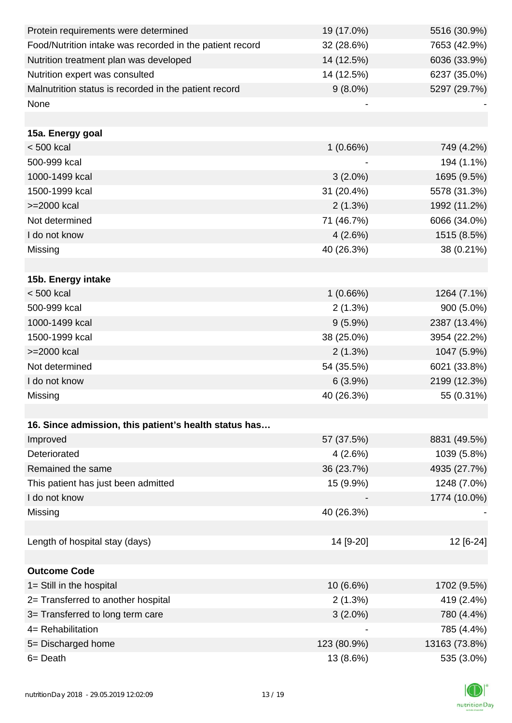| Protein requirements were determined                     | 19 (17.0%)  | 5516 (30.9%)  |
|----------------------------------------------------------|-------------|---------------|
| Food/Nutrition intake was recorded in the patient record | 32 (28.6%)  | 7653 (42.9%)  |
| Nutrition treatment plan was developed                   | 14 (12.5%)  | 6036 (33.9%)  |
| Nutrition expert was consulted                           | 14 (12.5%)  | 6237 (35.0%)  |
| Malnutrition status is recorded in the patient record    | $9(8.0\%)$  | 5297 (29.7%)  |
| None                                                     |             |               |
|                                                          |             |               |
| 15a. Energy goal                                         |             |               |
| $< 500$ kcal                                             | 1(0.66%)    | 749 (4.2%)    |
| 500-999 kcal                                             |             | 194 (1.1%)    |
| 1000-1499 kcal                                           | $3(2.0\%)$  | 1695 (9.5%)   |
| 1500-1999 kcal                                           | 31 (20.4%)  | 5578 (31.3%)  |
| >=2000 kcal                                              | $2(1.3\%)$  | 1992 (11.2%)  |
| Not determined                                           | 71 (46.7%)  | 6066 (34.0%)  |
| I do not know                                            | 4(2.6%)     | 1515 (8.5%)   |
| Missing                                                  | 40 (26.3%)  | 38 (0.21%)    |
|                                                          |             |               |
| 15b. Energy intake                                       |             |               |
| < 500 kcal                                               | 1(0.66%)    | 1264 (7.1%)   |
| 500-999 kcal                                             | 2(1.3%)     | 900 (5.0%)    |
| 1000-1499 kcal                                           | $9(5.9\%)$  | 2387 (13.4%)  |
| 1500-1999 kcal                                           | 38 (25.0%)  | 3954 (22.2%)  |
| >=2000 kcal                                              | 2(1.3%)     | 1047 (5.9%)   |
| Not determined                                           | 54 (35.5%)  | 6021 (33.8%)  |
| I do not know                                            | 6(3.9%)     | 2199 (12.3%)  |
| Missing                                                  | 40 (26.3%)  | 55 (0.31%)    |
|                                                          |             |               |
| 16. Since admission, this patient's health status has    |             |               |
| Improved                                                 | 57 (37.5%)  | 8831 (49.5%)  |
| Deteriorated                                             | 4(2.6%)     | 1039 (5.8%)   |
| Remained the same                                        | 36 (23.7%)  | 4935 (27.7%)  |
| This patient has just been admitted                      | 15 (9.9%)   | 1248 (7.0%)   |
| I do not know                                            |             | 1774 (10.0%)  |
| Missing                                                  | 40 (26.3%)  |               |
|                                                          |             |               |
| Length of hospital stay (days)                           | 14 [9-20]   | 12 [6-24]     |
|                                                          |             |               |
| <b>Outcome Code</b>                                      |             |               |
| 1= Still in the hospital                                 | 10 (6.6%)   | 1702 (9.5%)   |
| 2= Transferred to another hospital                       | 2(1.3%)     | 419 (2.4%)    |
| 3= Transferred to long term care                         | $3(2.0\%)$  | 780 (4.4%)    |
| 4= Rehabilitation                                        |             | 785 (4.4%)    |
| 5= Discharged home                                       | 123 (80.9%) | 13163 (73.8%) |
| 6= Death                                                 | 13 (8.6%)   | 535 (3.0%)    |

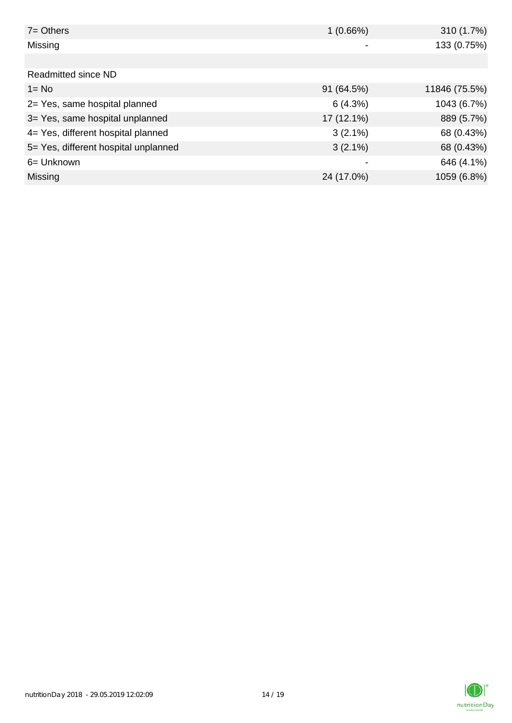| $7 = Others$                         | 1(0.66%)   | 310 (1.7%)    |
|--------------------------------------|------------|---------------|
| Missing                              |            | 133 (0.75%)   |
|                                      |            |               |
| Readmitted since ND                  |            |               |
| $1 = No$                             | 91 (64.5%) | 11846 (75.5%) |
| 2= Yes, same hospital planned        | 6(4.3%)    | 1043 (6.7%)   |
| 3= Yes, same hospital unplanned      | 17 (12.1%) | 889 (5.7%)    |
| 4= Yes, different hospital planned   | $3(2.1\%)$ | 68 (0.43%)    |
| 5= Yes, different hospital unplanned | $3(2.1\%)$ | 68 (0.43%)    |
| 6= Unknown                           | -          | 646 (4.1%)    |
| <b>Missing</b>                       | 24 (17.0%) | 1059 (6.8%)   |

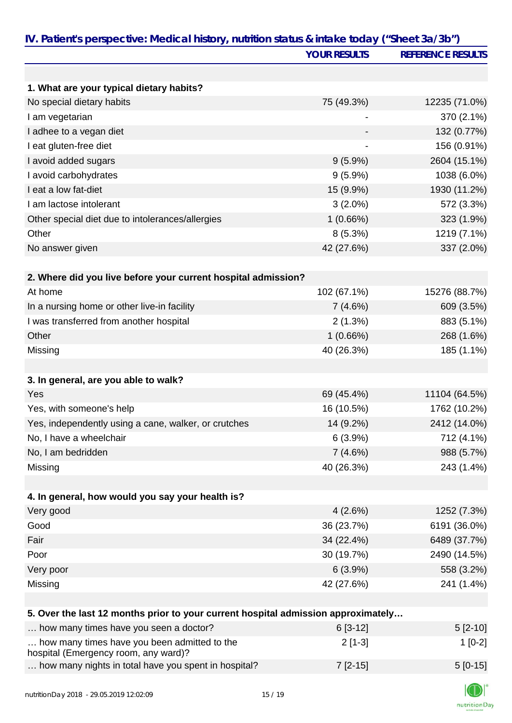|                                                                                      | <b>YOUR RESULTS</b> | <b>REFERENCE RESULTS</b> |
|--------------------------------------------------------------------------------------|---------------------|--------------------------|
|                                                                                      |                     |                          |
| 1. What are your typical dietary habits?                                             |                     |                          |
| No special dietary habits                                                            | 75 (49.3%)          | 12235 (71.0%)            |
| I am vegetarian                                                                      |                     | 370 (2.1%)               |
| I adhee to a vegan diet                                                              |                     | 132 (0.77%)              |
| I eat gluten-free diet                                                               | $\blacksquare$      | 156 (0.91%)              |
| I avoid added sugars                                                                 | $9(5.9\%)$          | 2604 (15.1%)             |
| I avoid carbohydrates                                                                | $9(5.9\%)$          | 1038 (6.0%)              |
| I eat a low fat-diet                                                                 | 15 (9.9%)           | 1930 (11.2%)             |
| I am lactose intolerant                                                              | $3(2.0\%)$          | 572 (3.3%)               |
| Other special diet due to intolerances/allergies                                     | 1(0.66%)            | 323 (1.9%)               |
| Other                                                                                | $8(5.3\%)$          | 1219 (7.1%)              |
| No answer given                                                                      | 42 (27.6%)          | 337 (2.0%)               |
|                                                                                      |                     |                          |
| 2. Where did you live before your current hospital admission?                        |                     |                          |
| At home                                                                              | 102 (67.1%)         | 15276 (88.7%)            |
| In a nursing home or other live-in facility                                          | 7(4.6%)             | 609 (3.5%)               |
| I was transferred from another hospital                                              | 2(1.3%)             | 883 (5.1%)               |
| Other                                                                                | 1(0.66%)            | 268 (1.6%)               |
| Missing                                                                              | 40 (26.3%)          | 185 (1.1%)               |
|                                                                                      |                     |                          |
| 3. In general, are you able to walk?                                                 |                     |                          |
| Yes                                                                                  | 69 (45.4%)          | 11104 (64.5%)            |
| Yes, with someone's help                                                             | 16 (10.5%)          | 1762 (10.2%)             |
| Yes, independently using a cane, walker, or crutches                                 | 14 (9.2%)           | 2412 (14.0%)             |
| No, I have a wheelchair                                                              | 6(3.9%)             | 712 (4.1%)               |
| No, I am bedridden                                                                   | 7(4.6%)             | 988 (5.7%)               |
| Missing                                                                              | 40 (26.3%)          | 243 (1.4%)               |
|                                                                                      |                     |                          |
| 4. In general, how would you say your health is?                                     |                     |                          |
| Very good                                                                            | 4(2.6%)             | 1252 (7.3%)              |
| Good                                                                                 | 36 (23.7%)          | 6191 (36.0%)             |
| Fair                                                                                 | 34 (22.4%)          | 6489 (37.7%)             |
|                                                                                      |                     |                          |
| Poor                                                                                 | 30 (19.7%)          | 2490 (14.5%)             |
| Very poor                                                                            | 6(3.9%)             | 558 (3.2%)               |
| Missing                                                                              | 42 (27.6%)          | 241 (1.4%)               |
|                                                                                      |                     |                          |
| 5. Over the last 12 months prior to your current hospital admission approximately    |                     |                          |
| how many times have you seen a doctor?                                               | $6[3-12]$           | $5[2-10]$                |
| how many times have you been admitted to the<br>hospital (Emergency room, any ward)? | $2[1-3]$            | $1[0-2]$                 |
| how many nights in total have you spent in hospital?                                 | $7[2-15]$           | $5[0-15]$                |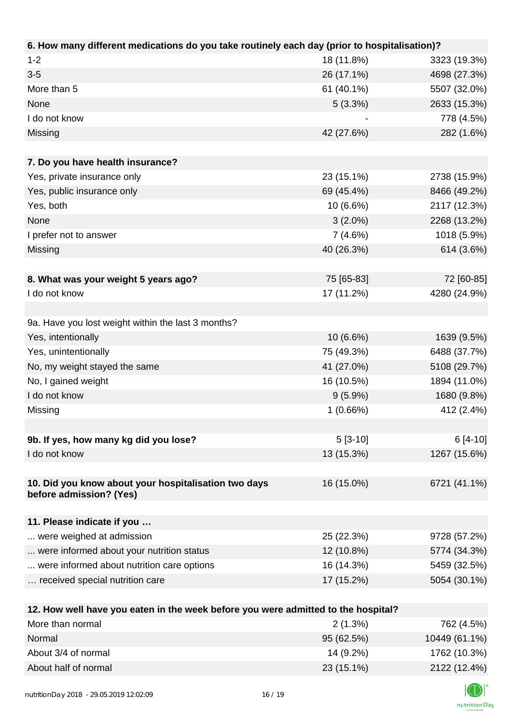| 6. How many different medications do you take routinely each day (prior to hospitalisation)? |                          |                              |
|----------------------------------------------------------------------------------------------|--------------------------|------------------------------|
| $1 - 2$                                                                                      | 18 (11.8%)               | 3323 (19.3%)                 |
| $3 - 5$                                                                                      | 26 (17.1%)               | 4698 (27.3%)                 |
| More than 5                                                                                  | 61 (40.1%)               | 5507 (32.0%)                 |
| None                                                                                         | 5(3.3%)                  | 2633 (15.3%)                 |
| I do not know                                                                                |                          | 778 (4.5%)                   |
| Missing                                                                                      | 42 (27.6%)               | 282 (1.6%)                   |
|                                                                                              |                          |                              |
| 7. Do you have health insurance?                                                             |                          |                              |
| Yes, private insurance only                                                                  | 23 (15.1%)               | 2738 (15.9%)                 |
| Yes, public insurance only                                                                   | 69 (45.4%)               | 8466 (49.2%)                 |
| Yes, both                                                                                    | 10 (6.6%)                | 2117 (12.3%)                 |
| None                                                                                         | $3(2.0\%)$               | 2268 (13.2%)                 |
| I prefer not to answer                                                                       | 7(4.6%)                  | 1018 (5.9%)                  |
| Missing                                                                                      | 40 (26.3%)               | 614 (3.6%)                   |
|                                                                                              |                          |                              |
| 8. What was your weight 5 years ago?                                                         | 75 [65-83]               | 72 [60-85]                   |
| I do not know                                                                                | 17 (11.2%)               | 4280 (24.9%)                 |
|                                                                                              |                          |                              |
| 9a. Have you lost weight within the last 3 months?                                           |                          |                              |
| Yes, intentionally                                                                           | 10 (6.6%)                | 1639 (9.5%)                  |
| Yes, unintentionally                                                                         | 75 (49.3%)               | 6488 (37.7%)                 |
| No, my weight stayed the same                                                                | 41 (27.0%)               | 5108 (29.7%)                 |
| No, I gained weight                                                                          | 16 (10.5%)               | 1894 (11.0%)                 |
| I do not know                                                                                | $9(5.9\%)$               | 1680 (9.8%)                  |
| Missing                                                                                      | 1(0.66%)                 | 412 (2.4%)                   |
|                                                                                              |                          |                              |
| 9b. If yes, how many kg did you lose?                                                        | $5[3-10]$                | $6[4-10]$                    |
| I do not know                                                                                | 13 (15.3%)               | 1267 (15.6%)                 |
|                                                                                              |                          |                              |
| 10. Did you know about your hospitalisation two days                                         | 16 (15.0%)               | 6721 (41.1%)                 |
| before admission? (Yes)                                                                      |                          |                              |
|                                                                                              |                          |                              |
| 11. Please indicate if you<br>were weighed at admission                                      |                          |                              |
|                                                                                              | 25 (22.3%)<br>12 (10.8%) | 9728 (57.2%)                 |
| were informed about your nutrition status<br>were informed about nutrition care options      | 16 (14.3%)               | 5774 (34.3%)<br>5459 (32.5%) |
|                                                                                              |                          |                              |
| received special nutrition care                                                              | 17 (15.2%)               | 5054 (30.1%)                 |
| 12. How well have you eaten in the week before you were admitted to the hospital?            |                          |                              |
| More than normal                                                                             | 2(1.3%)                  | 762 (4.5%)                   |
| <b>Normal</b>                                                                                | OE(CO E01)               | 10110(6110)                  |

| More than normal     | $2(1.3\%)$ | 762 (4.5%)    |
|----------------------|------------|---------------|
| Normal               | 95 (62.5%) | 10449 (61.1%) |
| About 3/4 of normal  | 14 (9.2%)  | 1762 (10.3%)  |
| About half of normal | 23 (15.1%) | 2122 (12.4%)  |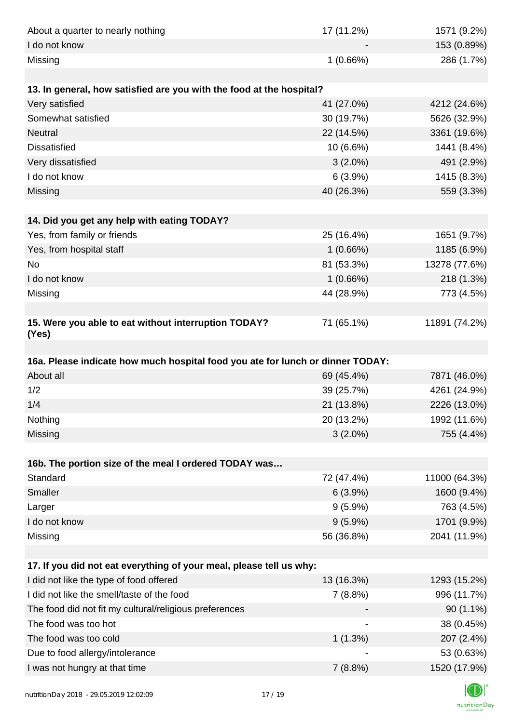| About a quarter to nearly nothing                                              | 17 (11.2%) | 1571 (9.2%)                  |
|--------------------------------------------------------------------------------|------------|------------------------------|
| I do not know                                                                  |            | 153 (0.89%)                  |
| Missing                                                                        | 1(0.66%)   | 286 (1.7%)                   |
|                                                                                |            |                              |
| 13. In general, how satisfied are you with the food at the hospital?           |            |                              |
| Very satisfied                                                                 | 41 (27.0%) | 4212 (24.6%)                 |
| Somewhat satisfied                                                             | 30 (19.7%) | 5626 (32.9%)                 |
| Neutral                                                                        | 22 (14.5%) | 3361 (19.6%)                 |
| <b>Dissatisfied</b>                                                            | 10 (6.6%)  | 1441 (8.4%)                  |
| Very dissatisfied                                                              | $3(2.0\%)$ | 491 (2.9%)                   |
| I do not know                                                                  | 6(3.9%)    | 1415 (8.3%)                  |
| Missing                                                                        | 40 (26.3%) | 559 (3.3%)                   |
|                                                                                |            |                              |
| 14. Did you get any help with eating TODAY?                                    |            |                              |
| Yes, from family or friends                                                    | 25 (16.4%) | 1651 (9.7%)                  |
| Yes, from hospital staff                                                       | 1(0.66%)   | 1185 (6.9%)                  |
| No                                                                             | 81 (53.3%) | 13278 (77.6%)                |
| I do not know                                                                  | 1(0.66%)   | 218 (1.3%)                   |
| Missing                                                                        | 44 (28.9%) | 773 (4.5%)                   |
|                                                                                |            |                              |
| 15. Were you able to eat without interruption TODAY?<br>(Yes)                  | 71 (65.1%) | 11891 (74.2%)                |
|                                                                                |            |                              |
| 16a. Please indicate how much hospital food you ate for lunch or dinner TODAY: |            |                              |
| About all                                                                      | 69 (45.4%) | 7871 (46.0%)                 |
| 1/2                                                                            | 39 (25.7%) | 4261 (24.9%)                 |
|                                                                                |            |                              |
| 1/4                                                                            | 21 (13.8%) | 2226 (13.0%)                 |
| Nothing                                                                        | 20 (13.2%) | 1992 (11.6%)                 |
| Missing                                                                        | $3(2.0\%)$ | 755 (4.4%)                   |
|                                                                                |            |                              |
| 16b. The portion size of the meal I ordered TODAY was                          |            |                              |
| Standard                                                                       | 72 (47.4%) |                              |
| Smaller                                                                        | 6(3.9%)    | 11000 (64.3%)<br>1600 (9.4%) |
| Larger                                                                         | $9(5.9\%)$ | 763 (4.5%)                   |
| I do not know                                                                  | $9(5.9\%)$ | 1701 (9.9%)                  |
| Missing                                                                        | 56 (36.8%) | 2041 (11.9%)                 |
|                                                                                |            |                              |
| 17. If you did not eat everything of your meal, please tell us why:            |            |                              |
| I did not like the type of food offered                                        | 13 (16.3%) | 1293 (15.2%)                 |
| I did not like the smell/taste of the food                                     | 7(8.8%)    | 996 (11.7%)                  |
| The food did not fit my cultural/religious preferences                         |            | $90(1.1\%)$                  |
| The food was too hot                                                           |            | 38 (0.45%)                   |
| The food was too cold                                                          | 1(1.3%)    | 207 (2.4%)                   |
| Due to food allergy/intolerance<br>I was not hungry at that time               | 7(8.8%)    | 53 (0.63%)<br>1520 (17.9%)   |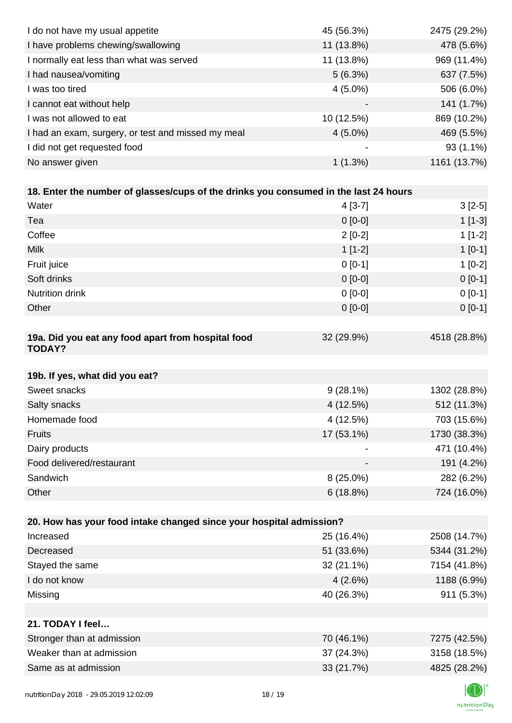| I do not have my usual appetite                                                      | 45 (56.3%)  | 2475 (29.2%) |
|--------------------------------------------------------------------------------------|-------------|--------------|
| I have problems chewing/swallowing                                                   | 11 (13.8%)  | 478 (5.6%)   |
| I normally eat less than what was served                                             | 11 (13.8%)  | 969 (11.4%)  |
| I had nausea/vomiting                                                                | 5(6.3%)     | 637 (7.5%)   |
| I was too tired                                                                      | $4(5.0\%)$  | 506 (6.0%)   |
| I cannot eat without help                                                            |             | 141 (1.7%)   |
| I was not allowed to eat                                                             | 10 (12.5%)  | 869 (10.2%)  |
| I had an exam, surgery, or test and missed my meal                                   | $4(5.0\%)$  | 469 (5.5%)   |
| I did not get requested food                                                         |             | 93 (1.1%)    |
| No answer given                                                                      | 1(1.3%)     | 1161 (13.7%) |
|                                                                                      |             |              |
| 18. Enter the number of glasses/cups of the drinks you consumed in the last 24 hours |             |              |
| Water                                                                                | $4[3-7]$    | $3[2-5]$     |
| Tea                                                                                  | $0[0-0]$    | $1[1-3]$     |
| Coffee                                                                               | $2[0-2]$    | $1[1-2]$     |
| <b>Milk</b>                                                                          | $1[1-2]$    | $1[0-1]$     |
| Fruit juice                                                                          | $0[0-1]$    | $1[0-2]$     |
| Soft drinks                                                                          | $0[0-0]$    | $0 [0-1]$    |
| Nutrition drink                                                                      | $0 [0-0]$   | $0 [0-1]$    |
| Other                                                                                | $0[0-0]$    | $0[0-1]$     |
|                                                                                      |             |              |
| 19a. Did you eat any food apart from hospital food<br><b>TODAY?</b>                  | 32 (29.9%)  | 4518 (28.8%) |
| 19b. If yes, what did you eat?                                                       |             |              |
| Sweet snacks                                                                         | $9(28.1\%)$ | 1302 (28.8%) |
| Salty snacks                                                                         | 4 (12.5%)   | 512 (11.3%)  |
| Homemade food                                                                        | 4 (12.5%)   | 703 (15.6%)  |
| Fruits                                                                               | 17 (53.1%)  | 1730 (38.3%) |
| Dairy products                                                                       |             | 471 (10.4%)  |
| Food delivered/restaurant                                                            |             | 191 (4.2%)   |
| Sandwich                                                                             | 8 (25.0%)   | 282 (6.2%)   |
| Other                                                                                | 6(18.8%)    | 724 (16.0%)  |
|                                                                                      |             |              |
| 20. How has your food intake changed since your hospital admission?                  |             |              |
| Increased                                                                            | 25 (16.4%)  | 2508 (14.7%) |
| Decreased                                                                            | 51 (33.6%)  | 5344 (31.2%) |
| Stayed the same                                                                      | 32 (21.1%)  | 7154 (41.8%) |
| I do not know                                                                        | 4(2.6%)     | 1188 (6.9%)  |
| Missing                                                                              | 40 (26.3%)  | 911 (5.3%)   |
|                                                                                      |             |              |
| 21. TODAY I feel                                                                     |             |              |
| Stronger than at admission                                                           | 70 (46.1%)  | 7275 (42.5%) |
| Weaker than at admission                                                             | 37 (24.3%)  | 3158 (18.5%) |
| Same as at admission                                                                 | 33 (21.7%)  | 4825 (28.2%) |
|                                                                                      |             |              |